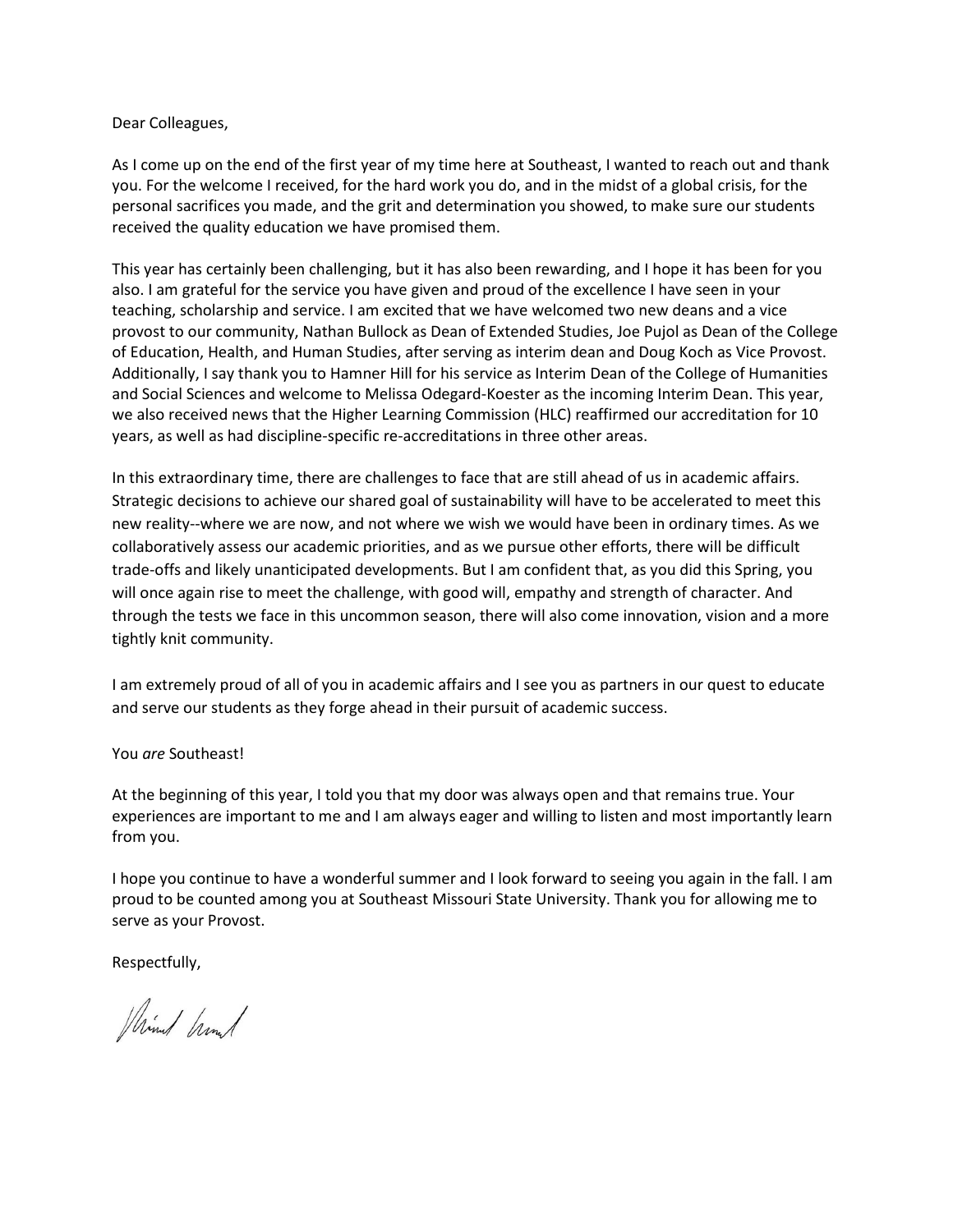## Dear Colleagues,

As I come up on the end of the first year of my time here at Southeast, I wanted to reach out and thank you. For the welcome I received, for the hard work you do, and in the midst of a global crisis, for the personal sacrifices you made, and the grit and determination you showed, to make sure our students received the quality education we have promised them.

This year has certainly been challenging, but it has also been rewarding, and I hope it has been for you also. I am grateful for the service you have given and proud of the excellence I have seen in your teaching, scholarship and service. I am excited that we have welcomed two new deans and a vice provost to our community, Nathan Bullock as Dean of Extended Studies, Joe Pujol as Dean of the College of Education, Health, and Human Studies, after serving as interim dean and Doug Koch as Vice Provost. Additionally, I say thank you to Hamner Hill for his service as Interim Dean of the College of Humanities and Social Sciences and welcome to Melissa Odegard-Koester as the incoming Interim Dean. This year, we also received news that the Higher Learning Commission (HLC) reaffirmed our accreditation for 10 years, as well as had discipline-specific re-accreditations in three other areas.

In this extraordinary time, there are challenges to face that are still ahead of us in academic affairs. Strategic decisions to achieve our shared goal of sustainability will have to be accelerated to meet this new reality--where we are now, and not where we wish we would have been in ordinary times. As we collaboratively assess our academic priorities, and as we pursue other efforts, there will be difficult trade-offs and likely unanticipated developments. But I am confident that, as you did this Spring, you will once again rise to meet the challenge, with good will, empathy and strength of character. And through the tests we face in this uncommon season, there will also come innovation, vision and a more tightly knit community.

I am extremely proud of all of you in academic affairs and I see you as partners in our quest to educate and serve our students as they forge ahead in their pursuit of academic success.

## You *are* Southeast!

At the beginning of this year, I told you that my door was always open and that remains true. Your experiences are important to me and I am always eager and willing to listen and most importantly learn from you.

I hope you continue to have a wonderful summer and I look forward to seeing you again in the fall. I am proud to be counted among you at Southeast Missouri State University. Thank you for allowing me to serve as your Provost.

Respectfully,

think from